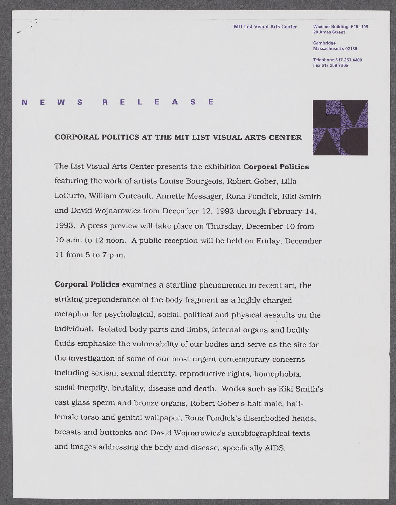## **MIT List Visual Arts Center Wiesner Building, E15-109**

**20 Ames Street**

**Cambridge Massachusetts 02139**

**Telephone \$17 253 4400** 617 253 4400**Fax [617 258 7265](fax:6172587265)**

## **N E W S R E** L **E A S E**

## **CORPORAL POLITICS AT THE MIT LIST VISUAL ARTS CENTER**

The List Visual Arts Center presents the exhibition **Corporal Politics** featuring the work of artists Louise Bourgeois, Robert Gober, Lilla LoCurto, William Outcault, Annette Messager, Rona Pondick, Kiki Smith and David Wojnarowicz from December 12, **1992** through February 14, **1993. A** press preview will take place on Thursday, December **10** from **10** a.m. to 12 noon. **A** public reception will be held on Friday, December **11** from **5** to **7** p.m.

**Corporal Politics** examines a startling phenomenon in recent art, the striking preponderance of the body fragment as a **highly** charged metaphor for psychological, social, political and physical assaults on the individual. Isolated body parts and limbs, internal organs and bodily fluids emphasize the vulnerability of our bodies and serve as the site for the investigation of some of our most urgent contemporary concerns including sexism, sexual identity, reproductive rights, homophobia, social inequity, brutality, disease and death. Works such as Kiki Smith's cast glass sperm and bronze organs, Robert Gober's half-male, halffemale torso and genital wallpaper, Rona Pondick's disembodied heads, breasts and buttocks and David Wojnarowicz's autobiographical texts and images addressing the body and disease, specifically AIDS,